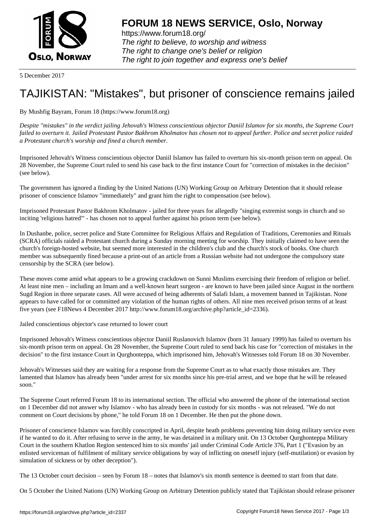

https://www.forum18.org/ The right to believe, to worship and witness The right to change one's belief or religion [The right to join together a](https://www.forum18.org/)nd express one's belief

5 December 2017

## [TAJIKISTAN: "M](https://www.forum18.org)istakes", but prisoner of conscience remains jailed

By Mushfig Bayram, Forum 18 (https://www.forum18.org)

*Despite "mistakes" in the verdict jailing Jehovah's Witness conscientious objector Daniil Islamov for six months, the Supreme Court failed to overturn it. Jailed Protestant Pastor Bakhrom Kholmatov has chosen not to appeal further. Police and secret police raided a Protestant church's worship and fined a church member.*

Imprisoned Jehovah's Witness conscientious objector Daniil Islamov has failed to overturn his six-month prison term on appeal. On 28 November, the Supreme Court ruled to send his case back to the first instance Court for "correction of mistakes in the decision" (see below).

The government has ignored a finding by the United Nations (UN) Working Group on Arbitrary Detention that it should release prisoner of conscience Islamov "immediately" and grant him the right to compensation (see below).

Imprisoned Protestant Pastor Bakhrom Kholmatov - jailed for three years for allegedly "singing extremist songs in church and so inciting 'religious hatred'" - has chosen not to appeal further against his prison term (see below).

In Dushanbe, police, secret police and State Committee for Religious Affairs and Regulation of Traditions, Ceremonies and Rituals (SCRA) officials raided a Protestant church during a Sunday morning meeting for worship. They initially claimed to have seen the church's foreign-hosted website, but seemed more interested in the children's club and the church's stock of books. One church member was subsequently fined because a print-out of an article from a Russian website had not undergone the compulsory state censorship by the SCRA (see below).

These moves come amid what appears to be a growing crackdown on Sunni Muslims exercising their freedom of religion or belief. At least nine men – including an Imam and a well-known heart surgeon - are known to have been jailed since August in the northern Sugd Region in three separate cases. All were accused of being adherents of Salafi Islam, a movement banned in Tajikistan. None appears to have called for or committed any violation of the human rights of others. All nine men received prison terms of at least five years (see F18News 4 December 2017 http://www.forum18.org/archive.php?article\_id=2336).

Jailed conscientious objector's case returned to lower court

Imprisoned Jehovah's Witness conscientious objector Daniil Ruslanovich Islamov (born 31 January 1999) has failed to overturn his six-month prison term on appeal. On 28 November, the Supreme Court ruled to send back his case for "correction of mistakes in the decision" to the first instance Court in Qurghonteppa, which imprisoned him, Jehovah's Witnesses told Forum 18 on 30 November.

Jehovah's Witnesses said they are waiting for a response from the Supreme Court as to what exactly those mistakes are. They lamented that Islamov has already been "under arrest for six months since his pre-trial arrest, and we hope that he will be released soon."

The Supreme Court referred Forum 18 to its international section. The official who answered the phone of the international section on 1 December did not answer why Islamov - who has already been in custody for six months - was not released. "We do not comment on Court decisions by phone," he told Forum 18 on 1 December. He then put the phone down.

Prisoner of conscience Islamov was forcibly conscripted in April, despite heath problems preventing him doing military service even if he wanted to do it. After refusing to serve in the army, he was detained in a military unit. On 13 October Qurghonteppa Military Court in the southern Khatlon Region sentenced him to six months' jail under Criminal Code Article 376, Part 1 ("Evasion by an enlisted serviceman of fulfilment of military service obligations by way of inflicting on oneself injury (self-mutilation) or evasion by simulation of sickness or by other deception").

The 13 October court decision – seen by Forum 18 – notes that Islamov's six month sentence is deemed to start from that date.

On 5 October the United Nations (UN) Working Group on Arbitrary Detention publicly stated that Tajikistan should release prisoner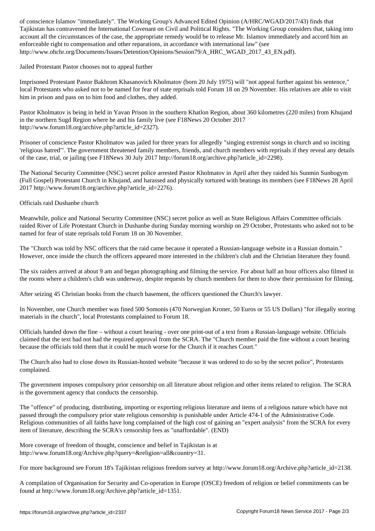Tajikistan has contravened the International Covenant on Civil and Political Rights. "The Working Group considers that, taking into account all the circumstances of the case, the appropriate remedy would be to release Mr. Islamov immediately and accord him an enforceable right to compensation and other reparations, in accordance with international law" (see http://www.ohchr.org/Documents/Issues/Detention/Opinions/Session79/A\_HRC\_WGAD\_2017\_43\_EN.pdf).

Jailed Protestant Pastor chooses not to appeal further

Imprisoned Protestant Pastor Bakhrom Khasanovich Kholmatov (born 20 July 1975) will "not appeal further against his sentence," local Protestants who asked not to be named for fear of state reprisals told Forum 18 on 29 November. His relatives are able to visit him in prison and pass on to him food and clothes, they added.

Pastor Kholmatov is being in held in Yavan Prison in the southern Khatlon Region, about 360 kilometres (220 miles) from Khujand in the northern Sugd Region where he and his family live (see F18News 20 October 2017 http://www.forum18.org/archive.php?article\_id=2327).

Prisoner of conscience Pastor Kholmatov was jailed for three years for allegedly "singing extremist songs in church and so inciting 'religious hatred'". The government threatened family members, friends, and church members with reprisals if they reveal any details of the case, trial, or jailing (see F18News 30 July 2017 http://forum18.org/archive.php?article\_id=2298).

The National Security Committee (NSC) secret police arrested Pastor Kholmatov in April after they raided his Sunmin Sunbogym (Full Gospel) Protestant Church in Khujand, and harassed and physically tortured with beatings its members (see F18News 28 April 2017 http://www.forum18.org/archive.php?article\_id=2276).

Officials raid Dushanbe church

Meanwhile, police and National Security Committee (NSC) secret police as well as State Religious Affairs Committee officials raided River of Life Protestant Church in Dushanbe during Sunday morning worship on 29 October, Protestants who asked not to be named for fear of state reprisals told Forum 18 on 30 November.

The "Church was told by NSC officers that the raid came because it operated a Russian-language website in a Russian domain." However, once inside the church the officers appeared more interested in the children's club and the Christian literature they found.

The six raiders arrived at about 9 am and began photographing and filming the service. For about half an hour officers also filmed in the rooms where a children's club was underway, despite requests by church members for them to show their permission for filming.

After seizing 45 Christian books from the church basement, the officers questioned the Church's lawyer.

In November, one Church member was fined 500 Somonis (470 Norwegian Kroner, 50 Euros or 55 US Dollars) "for illegally storing materials in the church", local Protestants complained to Forum 18.

Officials handed down the fine – without a court hearing - over one print-out of a text from a Russian-language website. Officials claimed that the text had not had the required approval from the SCRA. The "Church member paid the fine without a court hearing because the officials told them that it could be much worse for the Church if it reaches Court."

The Church also had to close down its Russian-hosted website "because it was ordered to do so by the secret police", Protestants complained.

The government imposes compulsory prior censorship on all literature about religion and other items related to religion. The SCRA is the government agency that conducts the censorship.

The "offence" of producing, distributing, importing or exporting religious literature and items of a religious nature which have not passed through the compulsory prior state religious censorship is punishable under Article 474-1 of the Administrative Code. Religious communities of all faiths have long complained of the high cost of gaining an "expert analysis" from the SCRA for every item of literature, describing the SCRA's censorship fees as "unaffordable". (END)

More coverage of freedom of thought, conscience and belief in Tajikistan is at http://www.forum18.org/Archive.php?query=&religion=all&country=31.

For more background see Forum 18's Tajikistan religious freedom survey at http://www.forum18.org/Archive.php?article\_id=2138.

A compilation of Organisation for Security and Co-operation in Europe (OSCE) freedom of religion or belief commitments can be found at http://www.forum18.org/Archive.php?article\_id=1351.